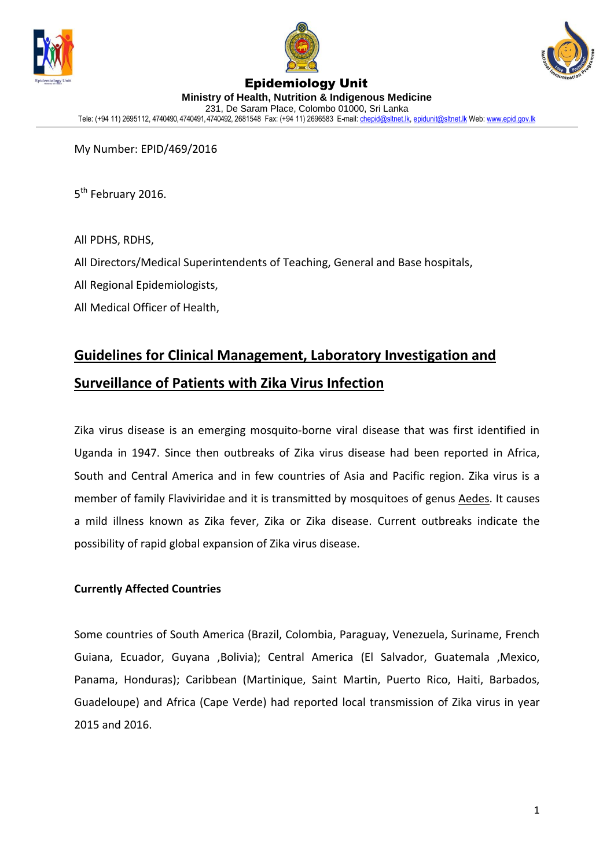





#### Epidemiology Unit **Ministry of Health, Nutrition & Indigenous Medicine** 231, De Saram Place, Colombo 01000, Sri Lanka Tele: (+94 11) 2695112, 4740490, 4740491, 4740492, 2681548 Fax: (+94 11) 2696583 E-mail[: chepid@sltnet.lk,](mailto:chepi@sltnet.lk) [epidunit@sltnet.lk](mailto:epidunit@sltnet.lk) Web[: www.epid.gov.lk](http://www.epid.gov.lk/)

My Number: EPID/469/2016

5<sup>th</sup> February 2016.

All PDHS, RDHS,

All Directors/Medical Superintendents of Teaching, General and Base hospitals,

All Regional Epidemiologists,

All Medical Officer of Health,

# **Guidelines for Clinical Management, Laboratory Investigation and Surveillance of Patients with Zika Virus Infection**

Zika virus disease is an emerging mosquito-borne viral disease that was first identified in Uganda in 1947. Since then outbreaks of Zika virus disease had been reported in Africa, South and Central America and in few countries of Asia and Pacific region. Zika virus is a member of family Flaviviridae and it is transmitted by mosquitoes of genus Aedes. It causes a mild illness known as Zika fever, Zika or Zika disease. Current outbreaks indicate the possibility of rapid global expansion of Zika virus disease.

# **Currently Affected Countries**

Some countries of South America (Brazil, Colombia, Paraguay, Venezuela, Suriname, French Guiana, Ecuador, Guyana ,Bolivia); Central America (El Salvador, Guatemala ,Mexico, Panama, Honduras); Caribbean (Martinique, Saint Martin, Puerto Rico, Haiti, Barbados, Guadeloupe) and Africa (Cape Verde) had reported local transmission of Zika virus in year 2015 and 2016.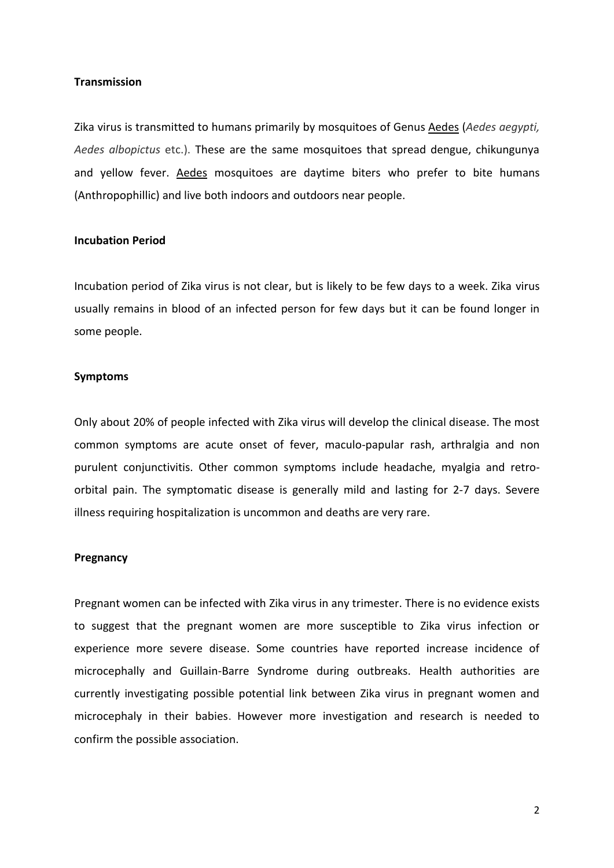## **Transmission**

Zika virus is transmitted to humans primarily by mosquitoes of Genus Aedes (*Aedes aegypti, Aedes albopictus* etc.). These are the same mosquitoes that spread dengue, chikungunya and yellow fever. Aedes mosquitoes are daytime biters who prefer to bite humans (Anthropophillic) and live both indoors and outdoors near people.

#### **Incubation Period**

Incubation period of Zika virus is not clear, but is likely to be few days to a week. Zika virus usually remains in blood of an infected person for few days but it can be found longer in some people.

#### **Symptoms**

Only about 20% of people infected with Zika virus will develop the clinical disease. The most common symptoms are acute onset of fever, maculo-papular rash, arthralgia and non purulent conjunctivitis. Other common symptoms include headache, myalgia and retroorbital pain. The symptomatic disease is generally mild and lasting for 2-7 days. Severe illness requiring hospitalization is uncommon and deaths are very rare.

### **Pregnancy**

Pregnant women can be infected with Zika virus in any trimester. There is no evidence exists to suggest that the pregnant women are more susceptible to Zika virus infection or experience more severe disease. Some countries have reported increase incidence of microcephally and Guillain-Barre Syndrome during outbreaks. Health authorities are currently investigating possible potential link between Zika virus in pregnant women and microcephaly in their babies. However more investigation and research is needed to confirm the possible association.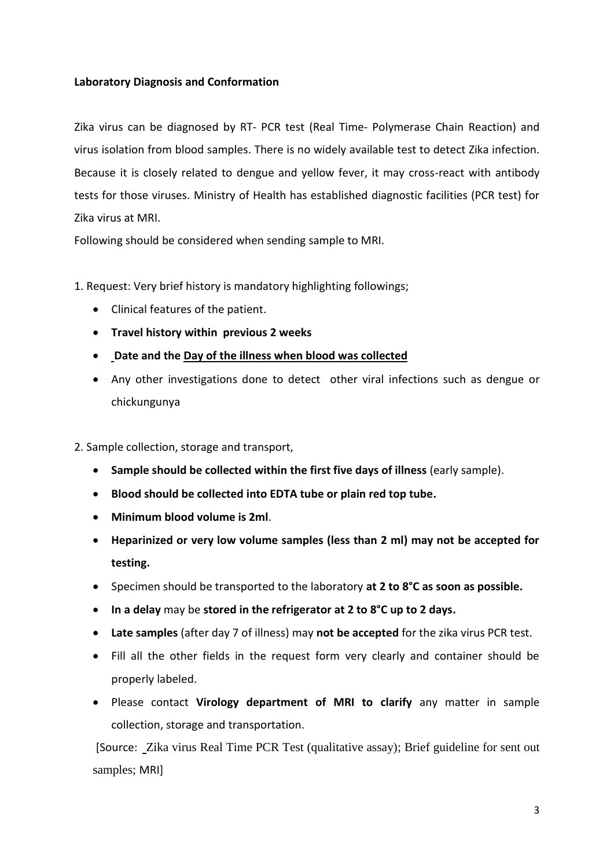# **Laboratory Diagnosis and Conformation**

Zika virus can be diagnosed by RT- PCR test (Real Time- Polymerase Chain Reaction) and virus isolation from blood samples. There is no widely available test to detect Zika infection. Because it is closely related to dengue and yellow fever, it may cross-react with antibody tests for those viruses. Ministry of Health has established diagnostic facilities (PCR test) for Zika virus at MRI.

Following should be considered when sending sample to MRI.

1. Request: Very brief history is mandatory highlighting followings;

- Clinical features of the patient.
- **Travel history within previous 2 weeks**
- **Date and the Day of the illness when blood was collected**
- Any other investigations done to detect other viral infections such as dengue or chickungunya

2. Sample collection, storage and transport,

- **Sample should be collected within the first five days of illness** (early sample).
- **Blood should be collected into EDTA tube or plain red top tube.**
- **Minimum blood volume is 2ml**.
- **Heparinized or very low volume samples (less than 2 ml) may not be accepted for testing.**
- Specimen should be transported to the laboratory **at 2 to 8°C as soon as possible.**
- **In a delay** may be **stored in the refrigerator at 2 to 8°C up to 2 days.**
- **Late samples** (after day 7 of illness) may **not be accepted** for the zika virus PCR test.
- Fill all the other fields in the request form very clearly and container should be properly labeled.
- Please contact **Virology department of MRI to clarify** any matter in sample collection, storage and transportation.

[Source: Zika virus Real Time PCR Test (qualitative assay); Brief guideline for sent out samples; MRI]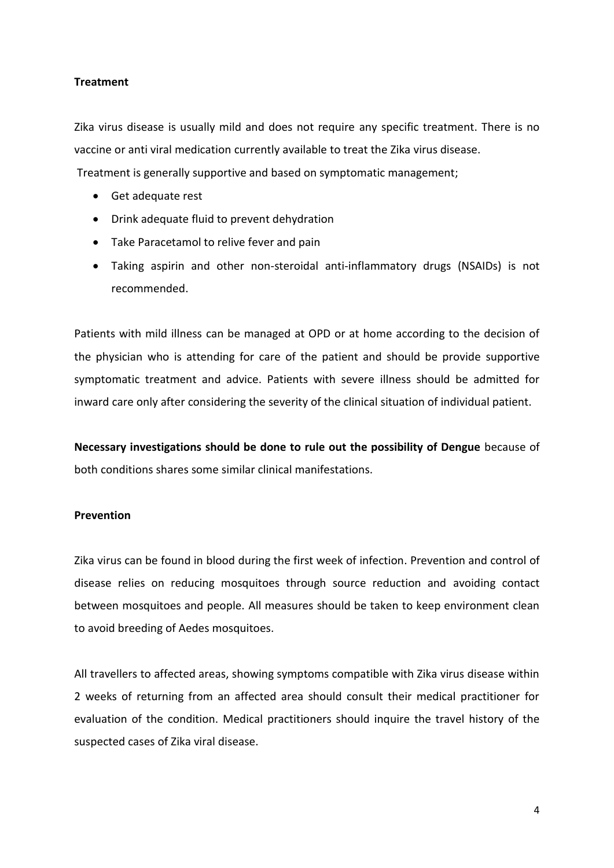## **Treatment**

Zika virus disease is usually mild and does not require any specific treatment. There is no vaccine or anti viral medication currently available to treat the Zika virus disease. Treatment is generally supportive and based on symptomatic management;

- Get adequate rest
- Drink adequate fluid to prevent dehydration
- Take Paracetamol to relive fever and pain
- Taking aspirin and other non-steroidal anti-inflammatory drugs (NSAIDs) is not recommended.

Patients with mild illness can be managed at OPD or at home according to the decision of the physician who is attending for care of the patient and should be provide supportive symptomatic treatment and advice. Patients with severe illness should be admitted for inward care only after considering the severity of the clinical situation of individual patient.

**Necessary investigations should be done to rule out the possibility of Dengue** because of both conditions shares some similar clinical manifestations.

## **Prevention**

Zika virus can be found in blood during the first week of infection. Prevention and control of disease relies on reducing mosquitoes through source reduction and avoiding contact between mosquitoes and people. All measures should be taken to keep environment clean to avoid breeding of Aedes mosquitoes.

All travellers to affected areas, showing symptoms compatible with Zika virus disease within 2 weeks of returning from an affected area should consult their medical practitioner for evaluation of the condition. Medical practitioners should inquire the travel history of the suspected cases of Zika viral disease.